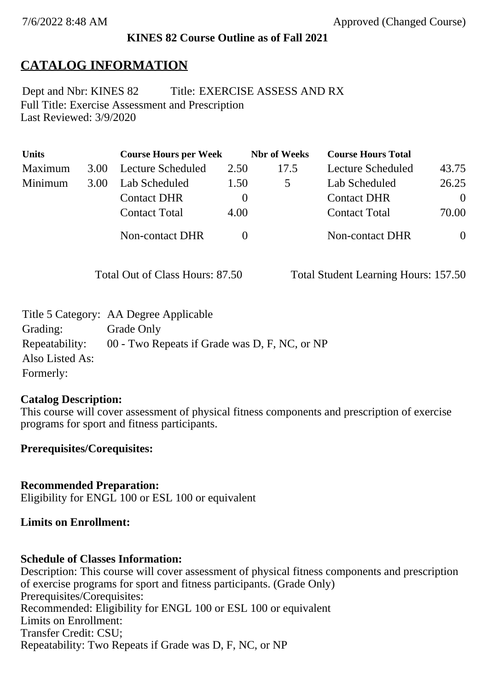#### **KINES 82 Course Outline as of Fall 2021**

## **CATALOG INFORMATION**

Full Title: Exercise Assessment and Prescription Last Reviewed: 3/9/2020 Dept and Nbr: KINES 82 Title: EXERCISE ASSESS AND RX

| <b>Units</b> |      | <b>Course Hours per Week</b> |          | <b>Nbr</b> of Weeks | <b>Course Hours Total</b> |          |
|--------------|------|------------------------------|----------|---------------------|---------------------------|----------|
| Maximum      | 3.00 | Lecture Scheduled            | 2.50     | 17.5                | Lecture Scheduled         | 43.75    |
| Minimum      | 3.00 | Lab Scheduled                | 1.50     | $\mathcal{D}$       | Lab Scheduled             | 26.25    |
|              |      | <b>Contact DHR</b>           | $\theta$ |                     | <b>Contact DHR</b>        | $\Omega$ |
|              |      | <b>Contact Total</b>         | 4.00     |                     | <b>Contact Total</b>      | 70.00    |
|              |      | Non-contact DHR              |          |                     | <b>Non-contact DHR</b>    | $\theta$ |

Total Out of Class Hours: 87.50 Total Student Learning Hours: 157.50

|                 | Title 5 Category: AA Degree Applicable        |
|-----------------|-----------------------------------------------|
| Grading:        | Grade Only                                    |
| Repeatability:  | 00 - Two Repeats if Grade was D, F, NC, or NP |
| Also Listed As: |                                               |
| Formerly:       |                                               |

#### **Catalog Description:**

This course will cover assessment of physical fitness components and prescription of exercise programs for sport and fitness participants.

### **Prerequisites/Corequisites:**

**Recommended Preparation:** Eligibility for ENGL 100 or ESL 100 or equivalent

#### **Limits on Enrollment:**

### **Schedule of Classes Information:**

Description: This course will cover assessment of physical fitness components and prescription of exercise programs for sport and fitness participants. (Grade Only) Prerequisites/Corequisites: Recommended: Eligibility for ENGL 100 or ESL 100 or equivalent Limits on Enrollment: Transfer Credit: CSU; Repeatability: Two Repeats if Grade was D, F, NC, or NP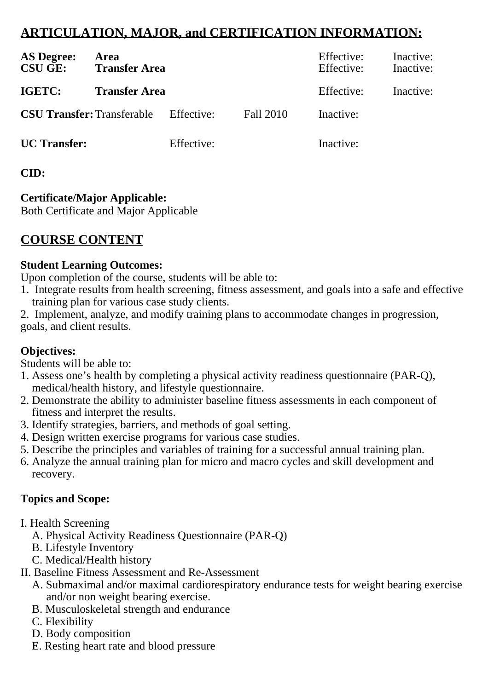# **ARTICULATION, MAJOR, and CERTIFICATION INFORMATION:**

| <b>AS Degree:</b><br><b>CSU GE:</b> | Area<br><b>Transfer Area</b> |            |           | Effective:<br>Effective: | Inactive:<br>Inactive: |
|-------------------------------------|------------------------------|------------|-----------|--------------------------|------------------------|
| IGETC:                              | <b>Transfer Area</b>         |            |           | Effective:               | Inactive:              |
| <b>CSU Transfer: Transferable</b>   |                              | Effective: | Fall 2010 | Inactive:                |                        |
| <b>UC</b> Transfer:                 |                              | Effective: |           | Inactive:                |                        |

## **CID:**

## **Certificate/Major Applicable:**

[Both Certificate and Major Applicable](SR_ClassCheck.aspx?CourseKey=KINES82)

# **COURSE CONTENT**

## **Student Learning Outcomes:**

Upon completion of the course, students will be able to:

1. Integrate results from health screening, fitness assessment, and goals into a safe and effective training plan for various case study clients.

2. Implement, analyze, and modify training plans to accommodate changes in progression, goals, and client results.

## **Objectives:**

Students will be able to:

- 1. Assess one's health by completing a physical activity readiness questionnaire (PAR-Q), medical/health history, and lifestyle questionnaire.
- 2. Demonstrate the ability to administer baseline fitness assessments in each component of fitness and interpret the results.
- 3. Identify strategies, barriers, and methods of goal setting.
- 4. Design written exercise programs for various case studies.
- 5. Describe the principles and variables of training for a successful annual training plan.
- 6. Analyze the annual training plan for micro and macro cycles and skill development and recovery.

## **Topics and Scope:**

- I. Health Screening
	- A. Physical Activity Readiness Questionnaire (PAR-Q)
	- B. Lifestyle Inventory
- C. Medical/Health history
- II. Baseline Fitness Assessment and Re-Assessment
	- A. Submaximal and/or maximal cardiorespiratory endurance tests for weight bearing exercise and/or non weight bearing exercise.
	- B. Musculoskeletal strength and endurance
	- C. Flexibility
	- D. Body composition
	- E. Resting heart rate and blood pressure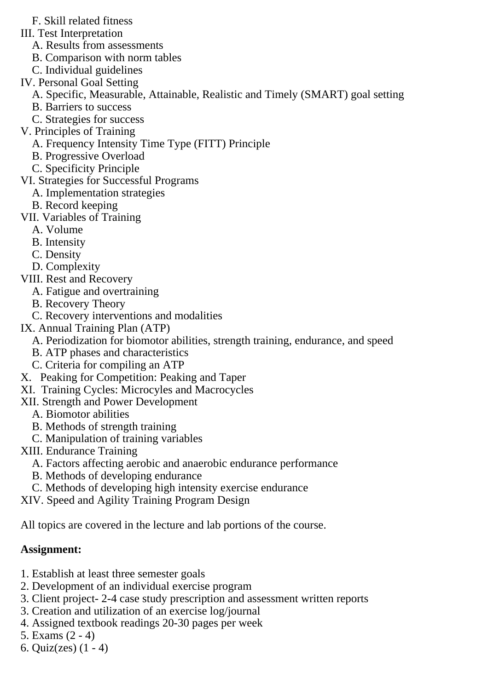- F. Skill related fitness
- III. Test Interpretation
	- A. Results from assessments
	- B. Comparison with norm tables
	- C. Individual guidelines
- IV. Personal Goal Setting
	- A. Specific, Measurable, Attainable, Realistic and Timely (SMART) goal setting
	- B. Barriers to success
	- C. Strategies for success
- V. Principles of Training
	- A. Frequency Intensity Time Type (FITT) Principle
	- B. Progressive Overload
- C. Specificity Principle
- VI. Strategies for Successful Programs
	- A. Implementation strategies
	- B. Record keeping
- VII. Variables of Training
	- A. Volume
	- B. Intensity
	- C. Density
	- D. Complexity
- VIII. Rest and Recovery
	- A. Fatigue and overtraining
	- B. Recovery Theory
	- C. Recovery interventions and modalities
- IX. Annual Training Plan (ATP)
	- A. Periodization for biomotor abilities, strength training, endurance, and speed
	- B. ATP phases and characteristics
	- C. Criteria for compiling an ATP
- X. Peaking for Competition: Peaking and Taper
- XI. Training Cycles: Microcyles and Macrocycles
- XII. Strength and Power Development
	- A. Biomotor abilities
	- B. Methods of strength training
	- C. Manipulation of training variables
- XIII. Endurance Training
	- A. Factors affecting aerobic and anaerobic endurance performance
	- B. Methods of developing endurance
	- C. Methods of developing high intensity exercise endurance
- XIV. Speed and Agility Training Program Design

All topics are covered in the lecture and lab portions of the course.

### **Assignment:**

- 1. Establish at least three semester goals
- 2. Development of an individual exercise program
- 3. Client project- 2-4 case study prescription and assessment written reports
- 3. Creation and utilization of an exercise log/journal
- 4. Assigned textbook readings 20-30 pages per week
- 5. Exams (2 4)
- 6. Quiz(zes) (1 4)